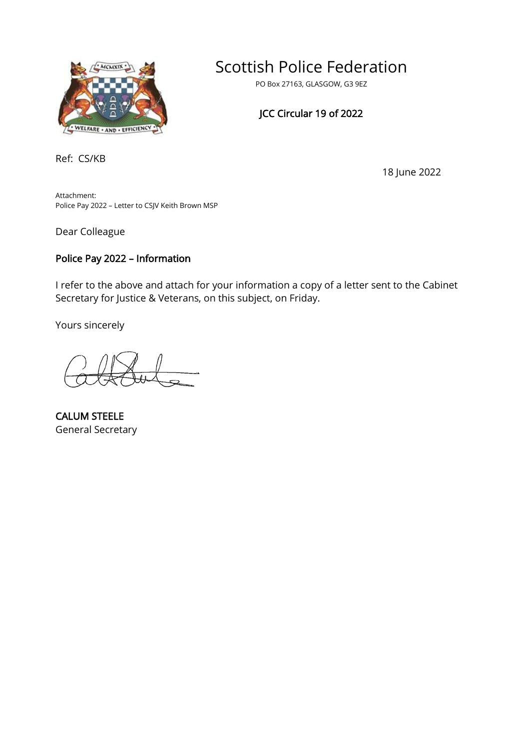

# Scottish Police Federation

PO Box 27163, GLASGOW, G3 9EZ

### JCC Circular 19 of 2022

Ref: CS/KB

18 June 2022

Attachment: Police Pay 2022 – Letter to CSJV Keith Brown MSP

Dear Colleague

#### Police Pay 2022 – Information

I refer to the above and attach for your information a copy of a letter sent to the Cabinet Secretary for Justice & Veterans, on this subject, on Friday.

Yours sincerely

CALUM STEELE General Secretary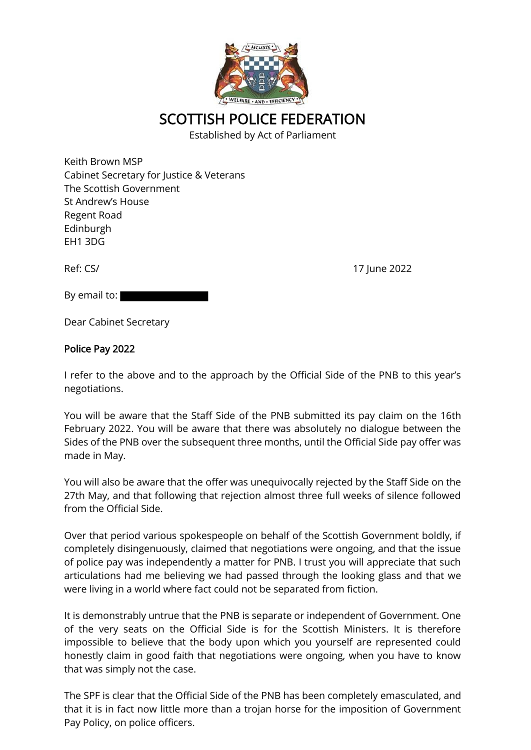

## SCOTTISH POLICE FEDERATION

Established by Act of Parliament

Keith Brown MSP Cabinet Secretary for Justice & Veterans The Scottish Government St Andrew's House Regent Road Edinburgh EH1 3DG

Ref: CS/ 17 June 2022

By email to:

Dear Cabinet Secretary

#### Police Pay 2022

I refer to the above and to the approach by the Official Side of the PNB to this year's negotiations.

You will be aware that the Staff Side of the PNB submitted its pay claim on the 16th February 2022. You will be aware that there was absolutely no dialogue between the Sides of the PNB over the subsequent three months, until the Official Side pay offer was made in May.

You will also be aware that the offer was unequivocally rejected by the Staff Side on the 27th May, and that following that rejection almost three full weeks of silence followed from the Official Side.

Over that period various spokespeople on behalf of the Scottish Government boldly, if completely disingenuously, claimed that negotiations were ongoing, and that the issue of police pay was independently a matter for PNB. I trust you will appreciate that such articulations had me believing we had passed through the looking glass and that we were living in a world where fact could not be separated from fiction.

It is demonstrably untrue that the PNB is separate or independent of Government. One of the very seats on the Official Side is for the Scottish Ministers. It is therefore impossible to believe that the body upon which you yourself are represented could honestly claim in good faith that negotiations were ongoing, when you have to know that was simply not the case.

The SPF is clear that the Official Side of the PNB has been completely emasculated, and that it is in fact now little more than a trojan horse for the imposition of Government Pay Policy, on police officers.